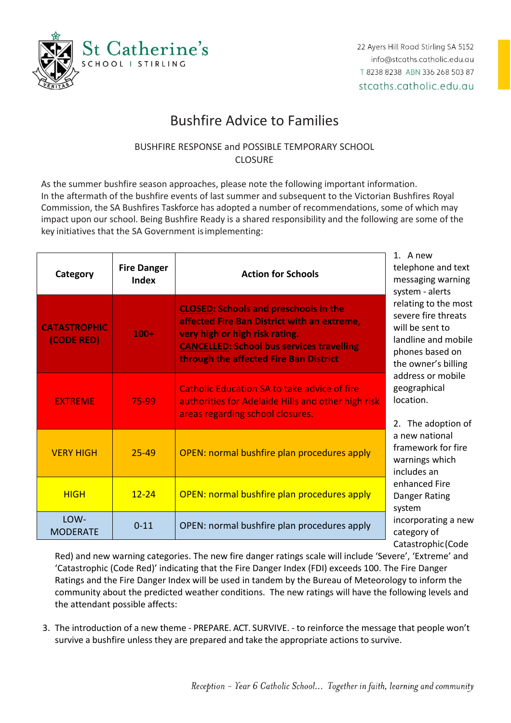

## Bushfire Advice to Families

## BUSHFIRE RESPONSE and POSSIBLE TEMPORARY SCHOOL **CLOSURE**

As the summer bushfire season approaches, please note the following important information. In the aftermath of the bushfire events of last summer and subsequent to the Victorian Bushfires Royal Commission, the SA Bushfires Taskforce has adopted a number of recommendations, some of which may impact upon our school. Being Bushfire Ready is a shared responsibility and the following are some of the key initiatives that the SA Government isimplementing:

| Category                          | <b>Fire Danger</b><br><b>Index</b> | <b>Action for Schools</b>                                                                                                                                                                                                   | 1. A new<br>telephone and text<br>messaging warning<br>system - alerts<br>relating to the most<br>severe fire threats<br>will be sent to<br>landline and mobile<br>phones based on<br>the owner's billing<br>address or mobile<br>geographical<br>location.<br>2. The adoption of<br>a new national<br>framework for fire<br>warnings which<br>includes an<br>enhanced Fire<br>Danger Rating<br>system<br>incorporating a new<br>category of<br>Catastrophic (Code |
|-----------------------------------|------------------------------------|-----------------------------------------------------------------------------------------------------------------------------------------------------------------------------------------------------------------------------|--------------------------------------------------------------------------------------------------------------------------------------------------------------------------------------------------------------------------------------------------------------------------------------------------------------------------------------------------------------------------------------------------------------------------------------------------------------------|
| <b>CATASTROPHIC</b><br>(CODE RED) | $100+$                             | <b>CLOSED: Schools and preschools in the</b><br>affected Fire Ban District with an extreme,<br>very high or high risk rating.<br><b>CANCELLED: School bus services travelling</b><br>through the affected Fire Ban District |                                                                                                                                                                                                                                                                                                                                                                                                                                                                    |
| <b>EXTREME</b>                    | 75-99                              | <b>Catholic Education SA to take advice of fire</b><br>authorities for Adelaide Hills and other high risk<br>areas regarding school closures.                                                                               |                                                                                                                                                                                                                                                                                                                                                                                                                                                                    |
| <b>VERY HIGH</b>                  | $25 - 49$                          | OPEN: normal bushfire plan procedures apply                                                                                                                                                                                 |                                                                                                                                                                                                                                                                                                                                                                                                                                                                    |
| <b>HIGH</b>                       | $12 - 24$                          | OPEN: normal bushfire plan procedures apply                                                                                                                                                                                 |                                                                                                                                                                                                                                                                                                                                                                                                                                                                    |
| LOW-<br><b>MODERATE</b>           | $0 - 11$                           | OPEN: normal bushfire plan procedures apply                                                                                                                                                                                 |                                                                                                                                                                                                                                                                                                                                                                                                                                                                    |

Red) and new warning categories. The new fire danger ratings scale will include 'Severe', 'Extreme' and 'Catastrophic (Code Red)' indicating that the Fire Danger Index (FDI) exceeds 100. The Fire Danger Ratings and the Fire Danger Index will be used in tandem by the Bureau of Meteorology to inform the community about the predicted weather conditions. The new ratings will have the following levels and the attendant possible affects:

3. The introduction of a new theme - PREPARE. ACT. SURVIVE. - to reinforce the message that people won't survive a bushfire unless they are prepared and take the appropriate actions to survive.